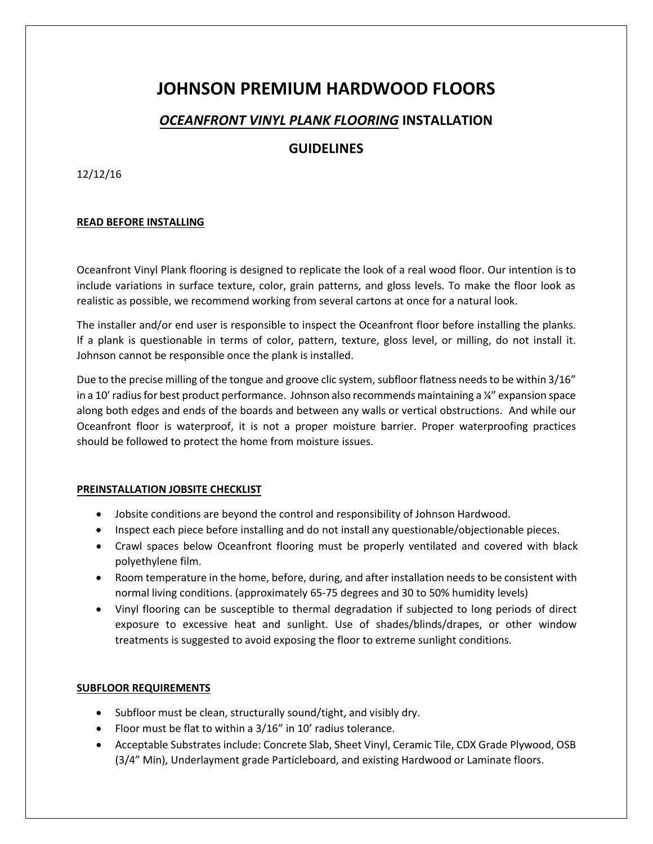# **JOHNSON PREMIUM HARDWOOD FLOORS**

# *OCEANFRONT VINYL PLANK FLOORING* **INSTALLATION**

# **GUIDELINES**

12/12/16

## **READ BEFORE INSTALLING**

Oceanfront Vinyl Plank flooring is designed to replicate the look of a real wood floor. Our intention is to include variations in surface texture, color, grain patterns, and gloss levels. To make the floor look as realistic as possible, we recommend working from several cartons at once for a natural look.

The installer and/or end user is responsible to inspect the Oceanfront floor before installing the planks. If a plank is questionable in terms of color, pattern, texture, gloss level, or milling, do not install it. Johnson cannot be responsible once the plank is installed.

Due to the precise milling of the tongue and groove clic system, subfloor flatness needs to be within 3/16" in a 10' radius for best product performance. Johnson also recommends maintaining a  $\frac{1}{4}$ " expansion space along both edges and ends of the boards and between any walls or vertical obstructions. And while our Oceanfront floor is waterproof, it is not a proper moisture barrier. Proper waterproofing practices should be followed to protect the home from moisture issues.

### **PREINSTALLATION JOBSITE CHECKLIST**

- Jobsite conditions are beyond the control and responsibility of Johnson Hardwood.
- Inspect each piece before installing and do not install any questionable/objectionable pieces.
- Crawl spaces below Oceanfront flooring must be properly ventilated and covered with black polyethylene film.
- Room temperature in the home, before, during, and after installation needs to be consistent with normal living conditions. (approximately 65-75 degrees and 30 to 50% humidity levels)
- Vinyl flooring can be susceptible to thermal degradation if subjected to long periods of direct exposure to excessive heat and sunlight. Use of shades/blinds/drapes, or other window treatments is suggested to avoid exposing the floor to extreme sunlight conditions.

# **SUBFLOOR REQUIREMENTS**

- Subfloor must be clean, structurally sound/tight, and visibly dry.
- Floor must be flat to within a 3/16" in 10' radius tolerance.
- Acceptable Substrates include: Concrete Slab, Sheet Vinyl, Ceramic Tile, CDX Grade Plywood, OSB (3/4" Min), Underlayment grade Particleboard, and existing Hardwood or Laminate floors.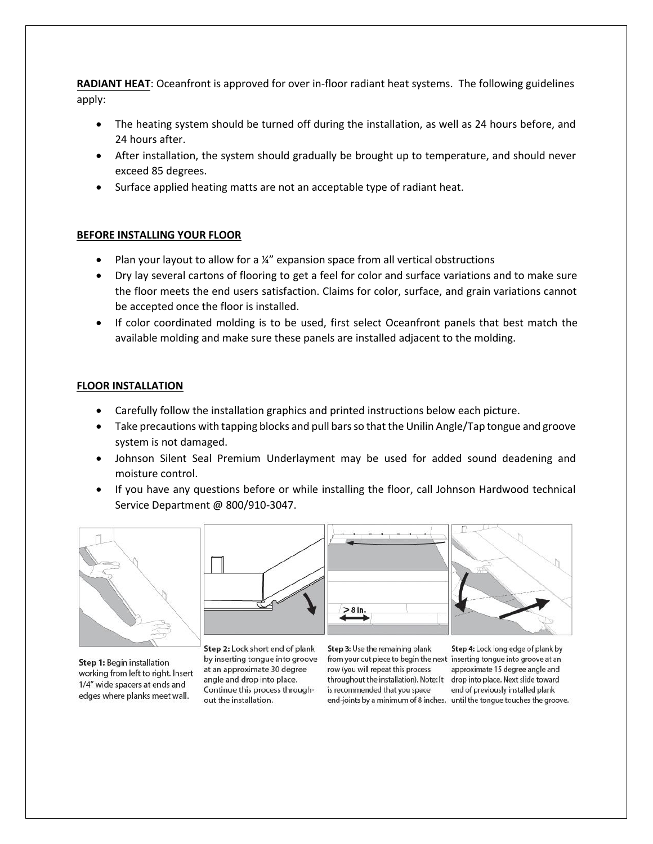**RADIANT HEAT**: Oceanfront is approved for over in-floor radiant heat systems. The following guidelines apply:

- The heating system should be turned off during the installation, as well as 24 hours before, and 24 hours after.
- After installation, the system should gradually be brought up to temperature, and should never exceed 85 degrees.
- Surface applied heating matts are not an acceptable type of radiant heat.

### **BEFORE INSTALLING YOUR FLOOR**

- Plan your layout to allow for a  $\frac{1}{4}$ " expansion space from all vertical obstructions
- Dry lay several cartons of flooring to get a feel for color and surface variations and to make sure the floor meets the end users satisfaction. Claims for color, surface, and grain variations cannot be accepted once the floor is installed.
- If color coordinated molding is to be used, first select Oceanfront panels that best match the available molding and make sure these panels are installed adjacent to the molding.

#### **FLOOR INSTALLATION**

- Carefully follow the installation graphics and printed instructions below each picture.
- Take precautions with tapping blocks and pull bars so that the Unilin Angle/Tap tongue and groove system is not damaged.
- Johnson Silent Seal Premium Underlayment may be used for added sound deadening and moisture control.
- If you have any questions before or while installing the floor, call Johnson Hardwood technical Service Department @ 800/910-3047.



Step 1: Begin installation working from left to right. Insert 1/4" wide spacers at ends and edges where planks meet wall.







Step 2: Lock short end of plank by inserting tongue into groove at an approximate 30 degree angle and drop into place. Continue this process throughout the installation.

Step 3: Use the remaining plank from your cut piece to begin the next inserting tongue into groove at an row (you will repeat this process throughout the installation). Note: It is recommended that you space

Step 4: Lock long edge of plank by approximate 15 degree angle and drop into place. Next slide toward end of previously installed plank end-joints by a minimum of 8 inches. until the tongue touches the groove.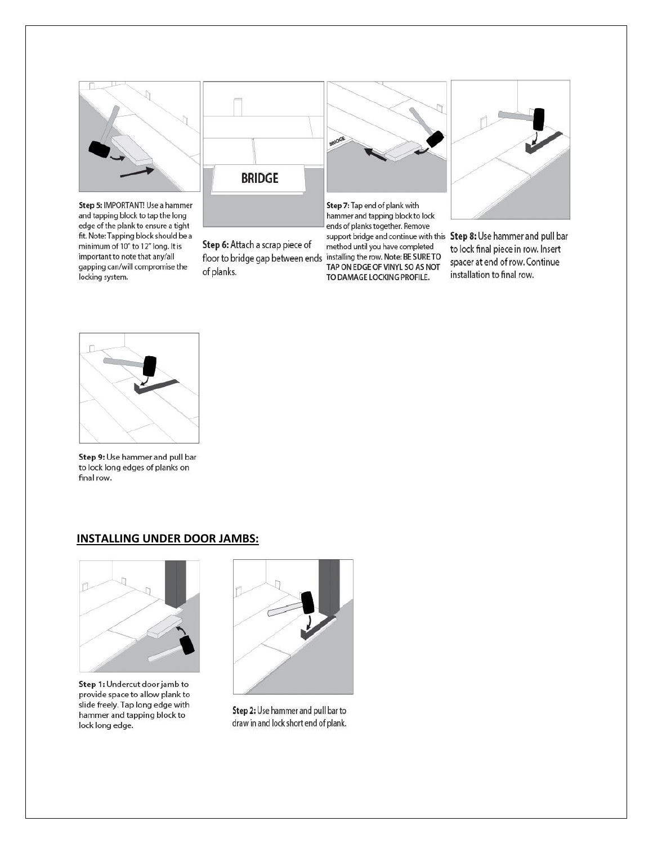

Step 5: IMPORTANT! Use a hammer and tapping block to tap the long edge of the plank to ensure a tight fit. Note: Tapping block should be a minimum of 10" to 12" long. It is important to note that any/all gapping can/will compromise the locking system.



Step 6: Attach a scrap piece of of planks.



ends of planks together. Remove support bridge and continue with this Step 8: Use hammer and pull bar method until you have completed floor to bridge gap between ends installing the row. Note: BE SURE TO<br>TAP ON EDGE OF VINYL SO AS NOT TO DAMAGE LOCKING PROFILE.



to lock final piece in row. Insert spacer at end of row. Continue installation to final row.



Step 9: Use hammer and pull bar to lock long edges of planks on final row.

## **INSTALLING UNDER DOOR JAMBS:**



Step 1: Undercut door jamb to provide space to allow plank to slide freely. Tap long edge with hammer and tapping block to lock long edge.



Step 2: Use hammer and pull bar to draw in and lock short end of plank.